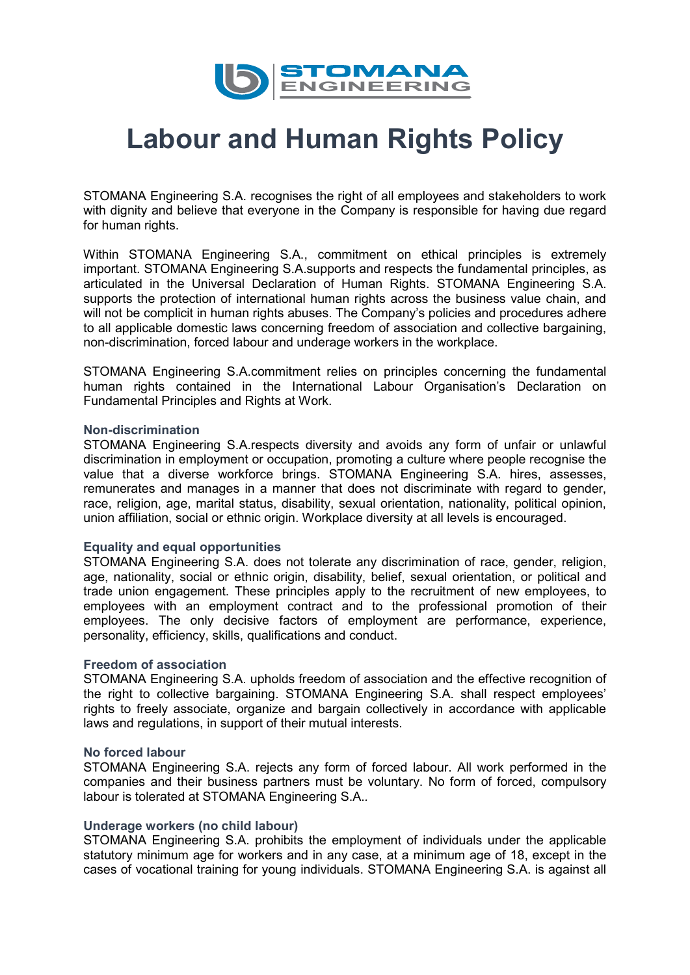

# **Labour and Human Rights Policy**

STOMANA Engineering S.A. recognises the right of all employees and stakeholders to work with dignity and believe that everyone in the Company is responsible for having due regard for human rights.

Within STOMANA Engineering S.A., commitment on ethical principles is extremely important. STOMANA Engineering S.A.supports and respects the fundamental principles, as articulated in the Universal Declaration of Human Rights. STOMANA Engineering S.A. supports the protection of international human rights across the business value chain, and will not be complicit in human rights abuses. The Company's policies and procedures adhere to all applicable domestic laws concerning freedom of association and collective bargaining, non-discrimination, forced labour and underage workers in the workplace.

STOMANA Engineering S.A.commitment relies on principles concerning the fundamental human rights contained in the International Labour Organisation's Declaration on Fundamental Principles and Rights at Work.

#### **Non-discrimination**

STOMANA Engineering S.A.respects diversity and avoids any form of unfair or unlawful discrimination in employment or occupation, promoting a culture where people recognise the value that a diverse workforce brings. STOMANA Engineering S.A. hires, assesses, remunerates and manages in a manner that does not discriminate with regard to gender, race, religion, age, marital status, disability, sexual orientation, nationality, political opinion, union affiliation, social or ethnic origin. Workplace diversity at all levels is encouraged.

### **Equality and equal opportunities**

STOMANA Engineering S.A. does not tolerate any discrimination of race, gender, religion, age, nationality, social or ethnic origin, disability, belief, sexual orientation, or political and trade union engagement. These principles apply to the recruitment of new employees, to employees with an employment contract and to the professional promotion of their employees. The only decisive factors of employment are performance, experience, personality, efficiency, skills, qualifications and conduct.

#### **Freedom of association**

STOMANA Engineering S.A. upholds freedom of association and the effective recognition of the right to collective bargaining. STOMANA Engineering S.A. shall respect employees' rights to freely associate, organize and bargain collectively in accordance with applicable laws and regulations, in support of their mutual interests.

#### **No forced labour**

STOMANA Engineering S.A. rejects any form of forced labour. All work performed in the companies and their business partners must be voluntary. No form of forced, compulsory labour is tolerated at STOMANA Engineering S.A.*.*

### **Underage workers (no child labour)**

STOMANA Engineering S.A. prohibits the employment of individuals under the applicable statutory minimum age for workers and in any case, at a minimum age of 18, except in the cases of vocational training for young individuals. STOMANA Engineering S.A. is against all